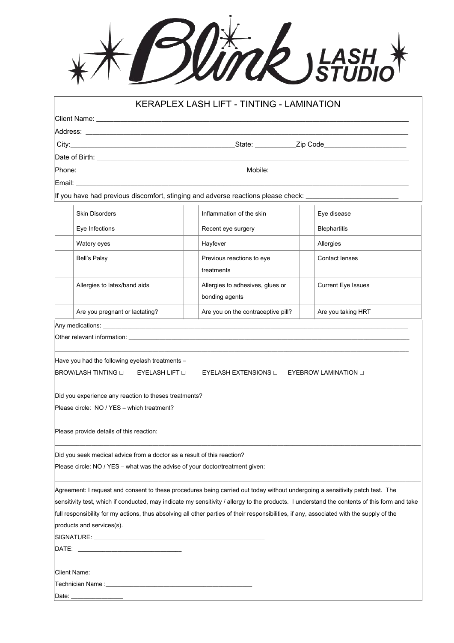## \*\* Blink JEASH \*

|                                                                                                                                                          |                                                                                                                                                 | KERAPLEX LASH LIFT - TINTING - LAMINATION                                                                                                                                                                                                                                  |                           |
|----------------------------------------------------------------------------------------------------------------------------------------------------------|-------------------------------------------------------------------------------------------------------------------------------------------------|----------------------------------------------------------------------------------------------------------------------------------------------------------------------------------------------------------------------------------------------------------------------------|---------------------------|
|                                                                                                                                                          |                                                                                                                                                 |                                                                                                                                                                                                                                                                            |                           |
|                                                                                                                                                          |                                                                                                                                                 |                                                                                                                                                                                                                                                                            |                           |
| City: City: City: State: Zip Code                                                                                                                        |                                                                                                                                                 |                                                                                                                                                                                                                                                                            |                           |
|                                                                                                                                                          |                                                                                                                                                 |                                                                                                                                                                                                                                                                            |                           |
|                                                                                                                                                          |                                                                                                                                                 |                                                                                                                                                                                                                                                                            |                           |
|                                                                                                                                                          | Email: <b>Album</b>                                                                                                                             |                                                                                                                                                                                                                                                                            |                           |
|                                                                                                                                                          |                                                                                                                                                 | If you have had previous discomfort, stinging and adverse reactions please check: ___________                                                                                                                                                                              |                           |
|                                                                                                                                                          |                                                                                                                                                 |                                                                                                                                                                                                                                                                            |                           |
|                                                                                                                                                          | <b>Skin Disorders</b>                                                                                                                           | Inflammation of the skin                                                                                                                                                                                                                                                   | Eye disease               |
|                                                                                                                                                          | Eye Infections                                                                                                                                  | Recent eye surgery                                                                                                                                                                                                                                                         | <b>Blephartitis</b>       |
|                                                                                                                                                          | Watery eyes                                                                                                                                     | Hayfever                                                                                                                                                                                                                                                                   | Allergies                 |
|                                                                                                                                                          | Bell's Palsy                                                                                                                                    | Previous reactions to eye<br>treatments                                                                                                                                                                                                                                    | <b>Contact lenses</b>     |
|                                                                                                                                                          | Allergies to latex/band aids                                                                                                                    | Allergies to adhesives, glues or<br>bonding agents                                                                                                                                                                                                                         | <b>Current Eye Issues</b> |
|                                                                                                                                                          | Are you pregnant or lactating?                                                                                                                  | Are you on the contraceptive pill?                                                                                                                                                                                                                                         | Are you taking HRT        |
|                                                                                                                                                          |                                                                                                                                                 |                                                                                                                                                                                                                                                                            |                           |
|                                                                                                                                                          | Have you had the following eyelash treatments -<br>BROW/LASH TINTING □<br>EYELASH LIFT O                                                        | Other relevant information: example and the state of the state of the state of the state of the state of the state of the state of the state of the state of the state of the state of the state of the state of the state of<br>EYELASH EXTENSIONS O EYEBROW LAMINATION O |                           |
|                                                                                                                                                          | Did you experience any reaction to theses treatments?<br>Please circle: NO / YES - which treatment?<br>Please provide details of this reaction: |                                                                                                                                                                                                                                                                            |                           |
|                                                                                                                                                          |                                                                                                                                                 |                                                                                                                                                                                                                                                                            |                           |
| Did you seek medical advice from a doctor as a result of this reaction?<br>Please circle: NO / YES - what was the advise of your doctor/treatment given: |                                                                                                                                                 |                                                                                                                                                                                                                                                                            |                           |
|                                                                                                                                                          |                                                                                                                                                 |                                                                                                                                                                                                                                                                            |                           |
|                                                                                                                                                          |                                                                                                                                                 | Agreement: I request and consent to these procedures being carried out today without undergoing a sensitivity patch test. The                                                                                                                                              |                           |
|                                                                                                                                                          |                                                                                                                                                 | sensitivity test, which if conducted, may indicate my sensitivity / allergy to the products. I understand the contents of this form and take                                                                                                                               |                           |
|                                                                                                                                                          |                                                                                                                                                 | full responsibility for my actions, thus absolving all other parties of their responsibilities, if any, associated with the supply of the                                                                                                                                  |                           |
|                                                                                                                                                          | products and services(s).                                                                                                                       |                                                                                                                                                                                                                                                                            |                           |
|                                                                                                                                                          |                                                                                                                                                 |                                                                                                                                                                                                                                                                            |                           |
|                                                                                                                                                          |                                                                                                                                                 |                                                                                                                                                                                                                                                                            |                           |
|                                                                                                                                                          |                                                                                                                                                 |                                                                                                                                                                                                                                                                            |                           |
|                                                                                                                                                          |                                                                                                                                                 |                                                                                                                                                                                                                                                                            |                           |
|                                                                                                                                                          |                                                                                                                                                 |                                                                                                                                                                                                                                                                            |                           |
| Date: _                                                                                                                                                  |                                                                                                                                                 |                                                                                                                                                                                                                                                                            |                           |